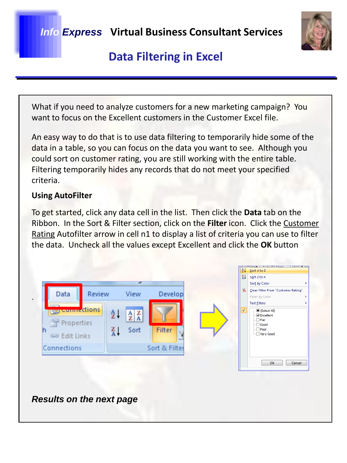

## **Data Filtering in Excel**

What if you need to analyze customers for a new marketing campaign? You want to focus on the Excellent customers in the Customer Excel file.

An easy way to do that is to use data filtering to temporarily hide some of the data in a table, so you can focus on the data you want to see. Although you could sort on customer rating, you are still working with the entire table. Filtering temporarily hides any records that do not meet your specified criteria.

### **Using AutoFilter**

To get started, click any data cell in the list. Then click the **Data** tab on the Ribbon. In the Sort & Filter section, click on the **Filter** icon. Click the Customer Rating Autofilter arrow in cell n1 to display a list of criteria you can use to filter the data. Uncheck all the values except Excellent and click the **OK** button